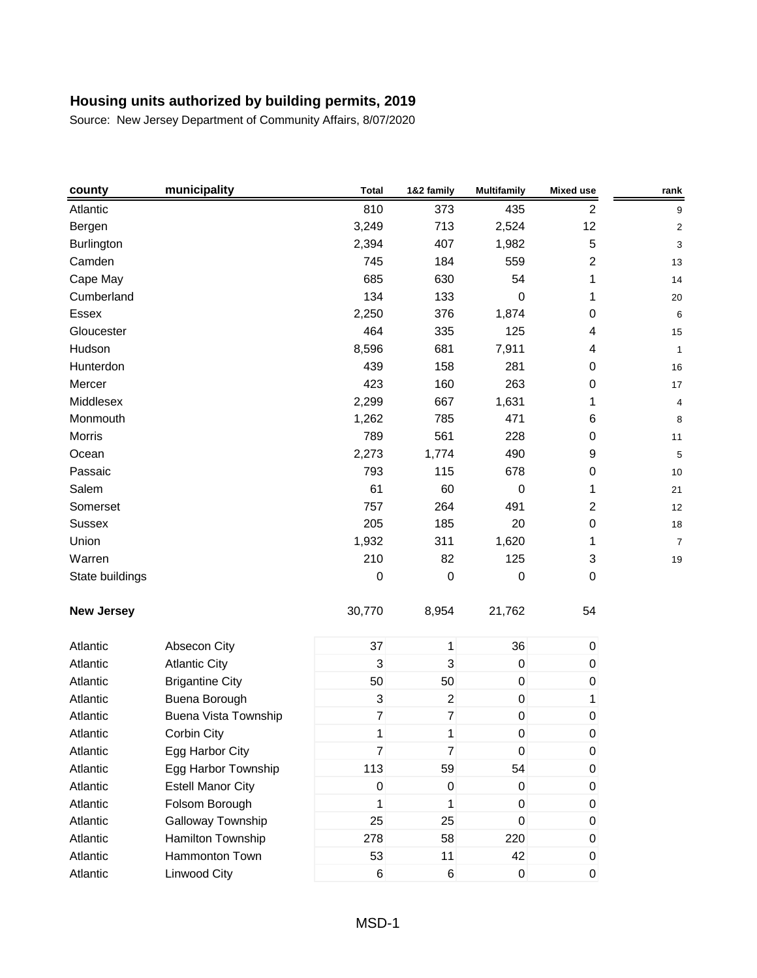| county            | municipality             | <b>Total</b>     | 1&2 family       | <b>Multifamily</b> | <b>Mixed use</b>        | rank                    |
|-------------------|--------------------------|------------------|------------------|--------------------|-------------------------|-------------------------|
| Atlantic          |                          | 810              | 373              | 435                | $\sqrt{2}$              | 9                       |
| Bergen            |                          | 3,249            | 713              | 2,524              | 12                      | $\overline{\mathbf{c}}$ |
| <b>Burlington</b> |                          | 2,394            | 407              | 1,982              | $\overline{5}$          | 3                       |
| Camden            |                          | 745              | 184              | 559                | $\overline{2}$          | 13                      |
| Cape May          |                          | 685              | 630              | 54                 | 1                       | 14                      |
| Cumberland        |                          | 134              | 133              | $\boldsymbol{0}$   | 1                       | 20                      |
| Essex             |                          | 2,250            | 376              | 1,874              | $\boldsymbol{0}$        | 6                       |
| Gloucester        |                          | 464              | 335              | 125                | $\overline{\mathbf{4}}$ | 15                      |
| Hudson            |                          | 8,596            | 681              | 7,911              | 4                       | 1                       |
| Hunterdon         |                          | 439              | 158              | 281                | $\boldsymbol{0}$        | 16                      |
| Mercer            |                          | 423              | 160              | 263                | $\pmb{0}$               | 17                      |
| Middlesex         |                          | 2,299            | 667              | 1,631              | 1                       | 4                       |
| Monmouth          |                          | 1,262            | 785              | 471                | 6                       | 8                       |
| Morris            |                          | 789              | 561              | 228                | $\boldsymbol{0}$        | 11                      |
| Ocean             |                          | 2,273            | 1,774            | 490                | $\boldsymbol{9}$        | 5                       |
| Passaic           |                          | 793              | 115              | 678                | $\pmb{0}$               | 10                      |
| Salem             |                          | 61               | 60               | 0                  | 1                       | 21                      |
| Somerset          |                          | 757              | 264              | 491                | $\boldsymbol{2}$        | 12                      |
| Sussex            |                          | 205              | 185              | 20                 | $\boldsymbol{0}$        | 18                      |
| Union             |                          | 1,932            | 311              | 1,620              | 1                       | $\overline{7}$          |
| Warren            |                          | 210              | 82               | 125                | 3                       | 19                      |
| State buildings   |                          | $\boldsymbol{0}$ | $\boldsymbol{0}$ | $\boldsymbol{0}$   | $\mathbf 0$             |                         |
| <b>New Jersey</b> |                          | 30,770           | 8,954            | 21,762             | 54                      |                         |
| Atlantic          | Absecon City             | 37               | $\mathbf{1}$     | 36                 | $\overline{0}$          |                         |
| Atlantic          | <b>Atlantic City</b>     | 3                | 3                | $\mathbf 0$        | $\pmb{0}$               |                         |
| Atlantic          | <b>Brigantine City</b>   | 50               | 50               | $\pmb{0}$          | $\pmb{0}$               |                         |
| Atlantic          | Buena Borough            | 3                | $\boldsymbol{2}$ | $\pmb{0}$          | 1                       |                         |
| Atlantic          | Buena Vista Township     | $\overline{7}$   | $\overline{7}$   | $\pmb{0}$          | $\pmb{0}$               |                         |
| Atlantic          | Corbin City              | 1                | 1                | 0                  | 0                       |                         |
| Atlantic          | Egg Harbor City          | $\overline{7}$   | $\overline{7}$   | $\pmb{0}$          | $\boldsymbol{0}$        |                         |
| Atlantic          | Egg Harbor Township      | 113              | 59               | 54                 | $\pmb{0}$               |                         |
| Atlantic          | <b>Estell Manor City</b> | $\pmb{0}$        | $\mathbf 0$      | $\pmb{0}$          | $\pmb{0}$               |                         |
| Atlantic          | Folsom Borough           | 1                | 1                | $\mathsf 0$        | $\boldsymbol{0}$        |                         |
| Atlantic          | Galloway Township        | 25               | 25               | $\pmb{0}$          | $\pmb{0}$               |                         |
| Atlantic          | Hamilton Township        | 278              | 58               | 220                | 0                       |                         |
| Atlantic          | Hammonton Town           | 53               | 11               | 42                 | $\pmb{0}$               |                         |
| Atlantic          | Linwood City             | 6                | $\,6$            | $\pmb{0}$          | $\pmb{0}$               |                         |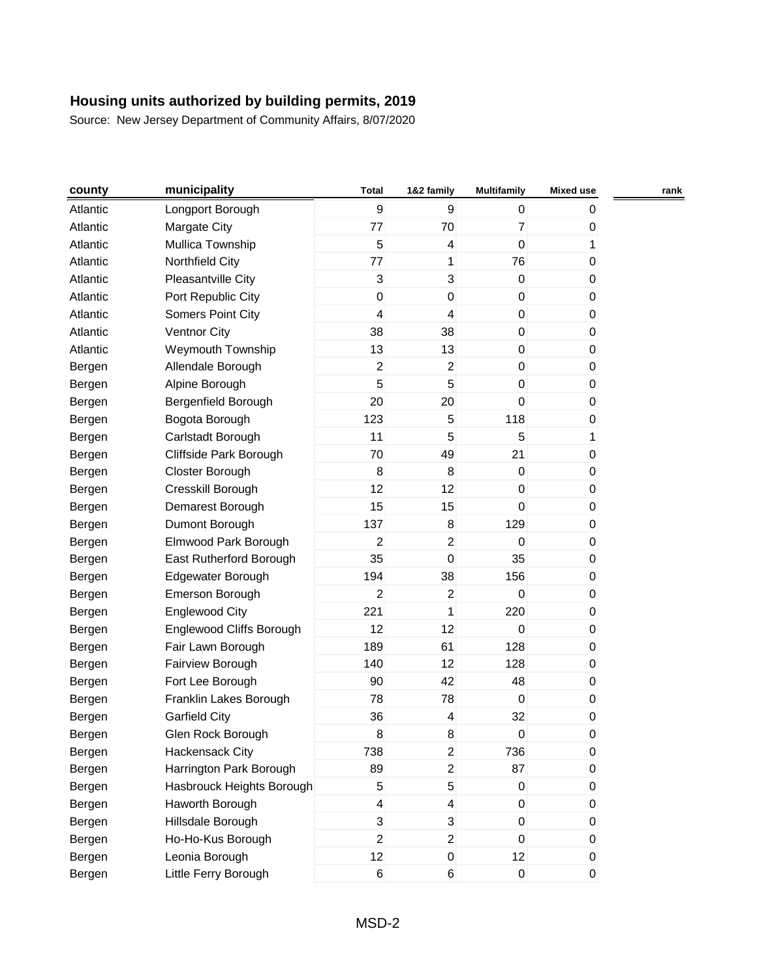| county   | municipality              | <b>Total</b>            | 1&2 family     | <b>Multifamily</b> | <b>Mixed use</b> | rank |
|----------|---------------------------|-------------------------|----------------|--------------------|------------------|------|
| Atlantic | Longport Borough          | 9                       | 9              | 0                  | 0                |      |
| Atlantic | Margate City              | 77                      | 70             | $\overline{7}$     | 0                |      |
| Atlantic | Mullica Township          | 5                       | 4              | 0                  | 1                |      |
| Atlantic | Northfield City           | 77                      | 1              | 76                 | 0                |      |
| Atlantic | Pleasantville City        | 3                       | 3              | $\pmb{0}$          | 0                |      |
| Atlantic | Port Republic City        | $\pmb{0}$               | $\mathsf 0$    | $\mathsf 0$        | 0                |      |
| Atlantic | <b>Somers Point City</b>  | 4                       | 4              | $\pmb{0}$          | 0                |      |
| Atlantic | <b>Ventnor City</b>       | 38                      | 38             | $\pmb{0}$          | 0                |      |
| Atlantic | Weymouth Township         | 13                      | 13             | $\mathsf 0$        | 0                |      |
| Bergen   | Allendale Borough         | $\overline{2}$          | $\overline{c}$ | 0                  | 0                |      |
| Bergen   | Alpine Borough            | 5                       | 5              | 0                  | 0                |      |
| Bergen   | Bergenfield Borough       | 20                      | 20             | 0                  | 0                |      |
| Bergen   | Bogota Borough            | 123                     | 5              | 118                | 0                |      |
| Bergen   | Carlstadt Borough         | 11                      | 5              | 5                  | 1                |      |
| Bergen   | Cliffside Park Borough    | 70                      | 49             | 21                 | 0                |      |
| Bergen   | Closter Borough           | 8                       | 8              | $\pmb{0}$          | 0                |      |
| Bergen   | Cresskill Borough         | 12                      | 12             | 0                  | 0                |      |
| Bergen   | Demarest Borough          | 15                      | 15             | 0                  | 0                |      |
| Bergen   | Dumont Borough            | 137                     | 8              | 129                | 0                |      |
| Bergen   | Elmwood Park Borough      | $\overline{2}$          | $\overline{2}$ | 0                  | 0                |      |
| Bergen   | East Rutherford Borough   | 35                      | $\pmb{0}$      | 35                 | 0                |      |
| Bergen   | Edgewater Borough         | 194                     | 38             | 156                | 0                |      |
| Bergen   | Emerson Borough           | $\overline{c}$          | $\overline{c}$ | 0                  | 0                |      |
| Bergen   | <b>Englewood City</b>     | 221                     | 1              | 220                | 0                |      |
| Bergen   | Englewood Cliffs Borough  | 12                      | 12             | 0                  | 0                |      |
| Bergen   | Fair Lawn Borough         | 189                     | 61             | 128                | 0                |      |
| Bergen   | Fairview Borough          | 140                     | 12             | 128                | 0                |      |
| Bergen   | Fort Lee Borough          | 90                      | 42             | 48                 | 0                |      |
| Bergen   | Franklin Lakes Borough    | 78                      | 78             | 0                  | 0                |      |
| Bergen   | <b>Garfield City</b>      | 36                      | 4              | 32                 | 0                |      |
| Bergen   | Glen Rock Borough         | 8                       | 8              | $\pmb{0}$          | 0                |      |
| Bergen   | Hackensack City           | 738                     | $\overline{c}$ | 736                | 0                |      |
| Bergen   | Harrington Park Borough   | 89                      | $\overline{c}$ | 87                 | 0                |      |
| Bergen   | Hasbrouck Heights Borough | 5                       | 5              | 0                  | 0                |      |
| Bergen   | Haworth Borough           | $\overline{\mathbf{4}}$ | 4              | 0                  | 0                |      |
| Bergen   | Hillsdale Borough         | 3                       | 3              | $\pmb{0}$          | 0                |      |
| Bergen   | Ho-Ho-Kus Borough         | $\overline{2}$          | $\overline{2}$ | 0                  | 0                |      |
| Bergen   | Leonia Borough            | 12                      | $\pmb{0}$      | 12                 | 0                |      |
| Bergen   | Little Ferry Borough      | 6                       | 6              | $\mathsf 0$        | $\pmb{0}$        |      |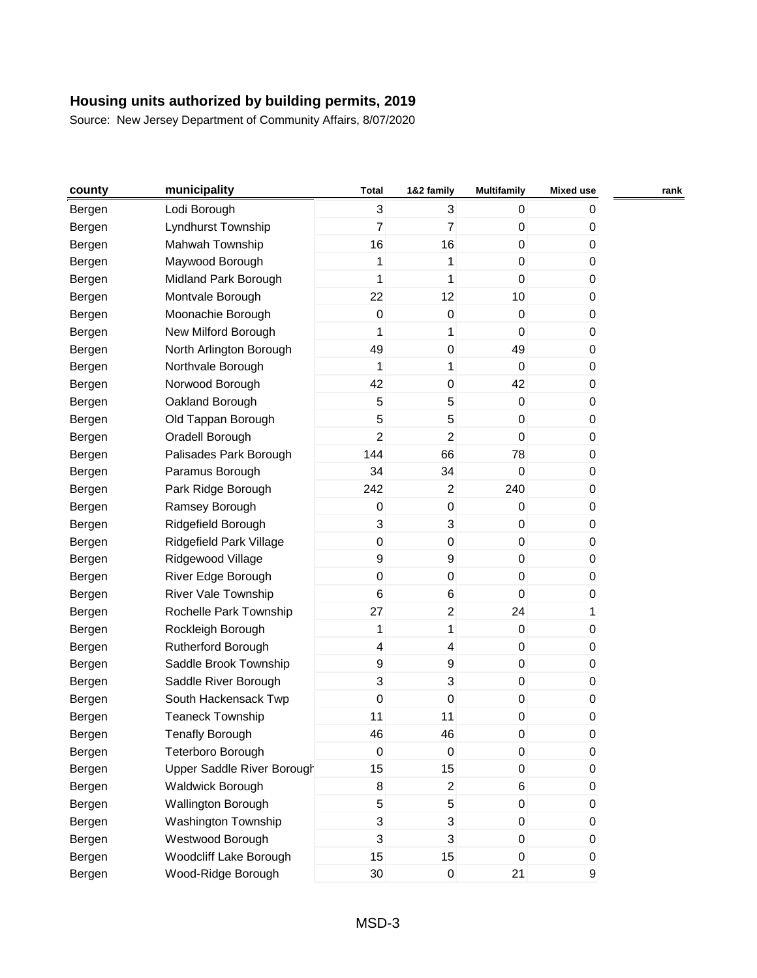| county | municipality               | Total            | 1&2 family              | <b>Multifamily</b> | <b>Mixed use</b> | rank |
|--------|----------------------------|------------------|-------------------------|--------------------|------------------|------|
| Bergen | Lodi Borough               | 3                | 3                       | 0                  | 0                |      |
| Bergen | Lyndhurst Township         | $\overline{7}$   | $\overline{7}$          | 0                  | 0                |      |
| Bergen | Mahwah Township            | 16               | 16                      | 0                  | 0                |      |
| Bergen | Maywood Borough            | 1                | 1                       | $\pmb{0}$          | 0                |      |
| Bergen | Midland Park Borough       | 1                | 1                       | $\pmb{0}$          | 0                |      |
| Bergen | Montvale Borough           | 22               | 12                      | 10                 | 0                |      |
| Bergen | Moonachie Borough          | 0                | $\boldsymbol{0}$        | 0                  | 0                |      |
| Bergen | New Milford Borough        | 1                | 1                       | 0                  | 0                |      |
| Bergen | North Arlington Borough    | 49               | $\mathsf 0$             | 49                 | 0                |      |
| Bergen | Northvale Borough          | 1                | 1                       | 0                  | 0                |      |
| Bergen | Norwood Borough            | 42               | $\pmb{0}$               | 42                 | 0                |      |
| Bergen | Oakland Borough            | 5                | 5                       | 0                  | 0                |      |
| Bergen | Old Tappan Borough         | 5                | 5                       | $\pmb{0}$          | 0                |      |
| Bergen | Oradell Borough            | $\overline{2}$   | $\overline{2}$          | 0                  | 0                |      |
| Bergen | Palisades Park Borough     | 144              | 66                      | 78                 | 0                |      |
| Bergen | Paramus Borough            | 34               | 34                      | $\pmb{0}$          | 0                |      |
| Bergen | Park Ridge Borough         | 242              | $\overline{\mathbf{c}}$ | 240                | 0                |      |
| Bergen | Ramsey Borough             | 0                | 0                       | 0                  | 0                |      |
| Bergen | Ridgefield Borough         | 3                | 3                       | $\pmb{0}$          | 0                |      |
| Bergen | Ridgefield Park Village    | $\pmb{0}$        | $\mathsf 0$             | $\pmb{0}$          | 0                |      |
| Bergen | Ridgewood Village          | $\boldsymbol{9}$ | 9                       | 0                  | 0                |      |
| Bergen | River Edge Borough         | $\pmb{0}$        | $\pmb{0}$               | $\pmb{0}$          | 0                |      |
| Bergen | <b>River Vale Township</b> | 6                | 6                       | $\mathsf 0$        | 0                |      |
| Bergen | Rochelle Park Township     | 27               | $\overline{c}$          | 24                 | 1                |      |
| Bergen | Rockleigh Borough          | 1                | 1                       | $\pmb{0}$          | 0                |      |
| Bergen | Rutherford Borough         | 4                | 4                       | 0                  | 0                |      |
| Bergen | Saddle Brook Township      | $\boldsymbol{9}$ | 9                       | 0                  | 0                |      |
| Bergen | Saddle River Borough       | 3                | 3                       | 0                  | 0                |      |
| Bergen | South Hackensack Twp       | $\pmb{0}$        | 0                       | 0                  | 0                |      |
| Bergen | <b>Teaneck Township</b>    | 11               | 11                      | 0                  | 0                |      |
| Bergen | <b>Tenafly Borough</b>     | 46               | 46                      | 0                  | 0                |      |
| Bergen | Teterboro Borough          | $\boldsymbol{0}$ | $\boldsymbol{0}$        | 0                  | 0                |      |
| Bergen | Upper Saddle River Borough | 15               | 15                      | $\overline{0}$     | 0                |      |
| Bergen | <b>Waldwick Borough</b>    | 8                | $\overline{c}$          | 6                  | 0                |      |
| Bergen | <b>Wallington Borough</b>  | 5                | 5                       | $\pmb{0}$          | $\mathbf{0}$     |      |
| Bergen | Washington Township        | 3                | 3                       | $\overline{0}$     | 0                |      |
| Bergen | Westwood Borough           | 3                | 3                       | 0                  | 0                |      |
| Bergen | Woodcliff Lake Borough     | 15               | 15                      | 0                  | 0                |      |
| Bergen | Wood-Ridge Borough         | 30               | $\pmb{0}$               | 21                 | 9                |      |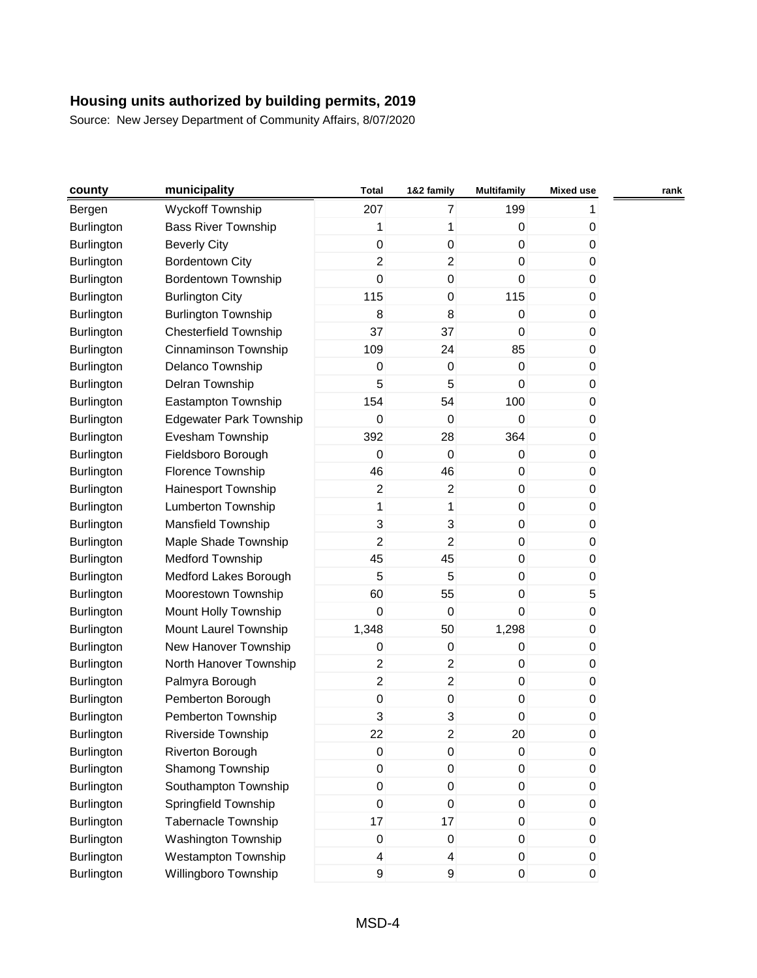| county            | municipality                   | <b>Total</b>     | 1&2 family              | <b>Multifamily</b> | <b>Mixed use</b> | rank |
|-------------------|--------------------------------|------------------|-------------------------|--------------------|------------------|------|
| Bergen            | <b>Wyckoff Township</b>        | 207              | $\overline{7}$          | 199                | 1.               |      |
| Burlington        | <b>Bass River Township</b>     | 1                | 1                       | $\pmb{0}$          | 0                |      |
| Burlington        | <b>Beverly City</b>            | 0                | 0                       | $\pmb{0}$          | 0                |      |
| Burlington        | <b>Bordentown City</b>         | $\overline{2}$   | $\overline{c}$          | 0                  | 0                |      |
| Burlington        | <b>Bordentown Township</b>     | $\pmb{0}$        | 0                       | 0                  | 0                |      |
| Burlington        | <b>Burlington City</b>         | 115              | 0                       | 115                | 0                |      |
| Burlington        | <b>Burlington Township</b>     | $\,8\,$          | 8                       | $\pmb{0}$          | 0                |      |
| Burlington        | <b>Chesterfield Township</b>   | 37               | 37                      | 0                  | 0                |      |
| Burlington        | Cinnaminson Township           | 109              | 24                      | 85                 | 0                |      |
| Burlington        | Delanco Township               | $\mathbf 0$      | $\boldsymbol{0}$        | $\pmb{0}$          | 0                |      |
| Burlington        | Delran Township                | 5                | 5                       | $\mathbf 0$        | 0                |      |
| Burlington        | Eastampton Township            | 154              | 54                      | 100                | 0                |      |
| Burlington        | <b>Edgewater Park Township</b> | $\pmb{0}$        | $\boldsymbol{0}$        | $\boldsymbol{0}$   | 0                |      |
| Burlington        | Evesham Township               | 392              | 28                      | 364                | 0                |      |
| Burlington        | Fieldsboro Borough             | $\Omega$         | $\boldsymbol{0}$        | 0                  | 0                |      |
| Burlington        | Florence Township              | 46               | 46                      | $\pmb{0}$          | 0                |      |
| Burlington        | Hainesport Township            | 2                | $\overline{\mathbf{c}}$ | $\pmb{0}$          | 0                |      |
| Burlington        | Lumberton Township             | 1                | 1                       | $\pmb{0}$          | 0                |      |
| Burlington        | Mansfield Township             | 3                | 3                       | 0                  | 0                |      |
| Burlington        | Maple Shade Township           | 2                | $\overline{c}$          | $\pmb{0}$          | 0                |      |
| Burlington        | <b>Medford Township</b>        | 45               | 45                      | $\pmb{0}$          | 0                |      |
| Burlington        | Medford Lakes Borough          | 5                | 5                       | $\pmb{0}$          | 0                |      |
| Burlington        | Moorestown Township            | 60               | 55                      | $\pmb{0}$          | 5                |      |
| Burlington        | Mount Holly Township           | $\mathbf 0$      | $\boldsymbol{0}$        | 0                  | 0                |      |
| Burlington        | Mount Laurel Township          | 1,348            | 50                      | 1,298              | 0                |      |
| Burlington        | New Hanover Township           | $\mathbf 0$      | 0                       | 0                  | 0                |      |
| Burlington        | North Hanover Township         | $\overline{2}$   | $\overline{\mathbf{c}}$ | $\pmb{0}$          | 0                |      |
| Burlington        | Palmyra Borough                | $\overline{2}$   | $\overline{c}$          | $\pmb{0}$          | 0                |      |
| Burlington        | Pemberton Borough              | $\pmb{0}$        | 0                       | $\pmb{0}$          | 0                |      |
| Burlington        | Pemberton Township             | 3                | 3                       | 0                  | 0                |      |
| Burlington        | Riverside Township             | 22               | $\overline{c}$          | 20                 | 0                |      |
| Burlington        | Riverton Borough               | $\mathbf 0$      | $\pmb{0}$               | $\pmb{0}$          | 0                |      |
| <b>Burlington</b> | Shamong Township               | $\pmb{0}$        | $\pmb{0}$               | $\pmb{0}$          | 0                |      |
| Burlington        | Southampton Township           | $\overline{0}$   | $\pmb{0}$               | $\pmb{0}$          | 0                |      |
| Burlington        | Springfield Township           | $\boldsymbol{0}$ | $\pmb{0}$               | $\pmb{0}$          | 0                |      |
| Burlington        | Tabernacle Township            | 17               | 17                      | $\pmb{0}$          | 0                |      |
| Burlington        | Washington Township            | $\mathbf 0$      | $\pmb{0}$               | 0                  | 0                |      |
| Burlington        | Westampton Township            | 4                | 4                       | $\pmb{0}$          | $\overline{0}$   |      |
| Burlington        | Willingboro Township           | 9                | 9                       | $\pmb{0}$          | 0                |      |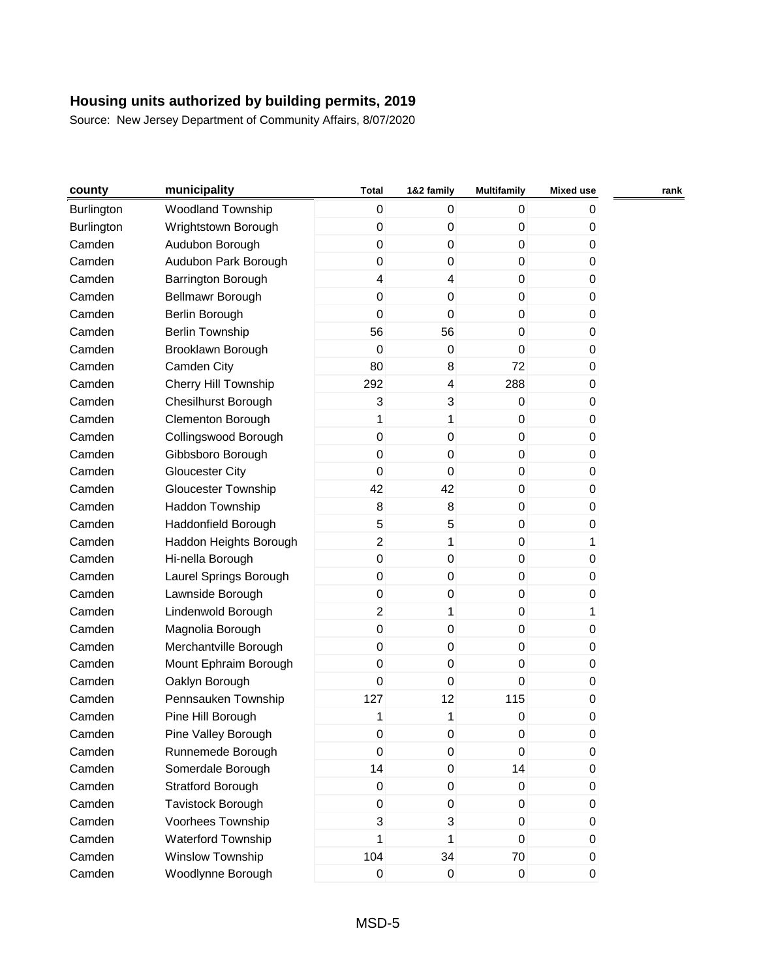| county            | municipality               | <b>Total</b>        | 1&2 family       | <b>Multifamily</b> | <b>Mixed use</b> | rank |
|-------------------|----------------------------|---------------------|------------------|--------------------|------------------|------|
| <b>Burlington</b> | <b>Woodland Township</b>   | 0                   | 0                | $\mathbf 0$        | 0                |      |
| Burlington        | Wrightstown Borough        | 0                   | $\pmb{0}$        | $\pmb{0}$          | 0                |      |
| Camden            | Audubon Borough            | $\pmb{0}$           | $\mathsf 0$      | $\pmb{0}$          | 0                |      |
| Camden            | Audubon Park Borough       | 0                   | 0                | 0                  | 0                |      |
| Camden            | Barrington Borough         | 4                   | 4                | $\mathbf 0$        | 0                |      |
| Camden            | Bellmawr Borough           | $\mathsf{O}\xspace$ | $\pmb{0}$        | $\pmb{0}$          | 0                |      |
| Camden            | Berlin Borough             | $\mathbf 0$         | $\boldsymbol{0}$ | $\pmb{0}$          | 0                |      |
| Camden            | <b>Berlin Township</b>     | 56                  | 56               | 0                  | 0                |      |
| Camden            | Brooklawn Borough          | $\mathbf 0$         | $\pmb{0}$        | 0                  | 0                |      |
| Camden            | Camden City                | 80                  | 8                | 72                 | 0                |      |
| Camden            | Cherry Hill Township       | 292                 | 4                | 288                | 0                |      |
| Camden            | <b>Chesilhurst Borough</b> | 3                   | 3                | $\pmb{0}$          | 0                |      |
| Camden            | Clementon Borough          | 1                   | 1                | $\pmb{0}$          | 0                |      |
| Camden            | Collingswood Borough       | $\pmb{0}$           | $\mathsf 0$      | $\mathbf 0$        | 0                |      |
| Camden            | Gibbsboro Borough          | 0                   | $\pmb{0}$        | 0                  | 0                |      |
| Camden            | <b>Gloucester City</b>     | $\mathbf 0$         | $\pmb{0}$        | $\mathbf 0$        | 0                |      |
| Camden            | <b>Gloucester Township</b> | 42                  | 42               | $\pmb{0}$          | 0                |      |
| Camden            | Haddon Township            | 8                   | 8                | $\pmb{0}$          | 0                |      |
| Camden            | Haddonfield Borough        | 5                   | 5                | $\mathbf 0$        | 0                |      |
| Camden            | Haddon Heights Borough     | $\overline{c}$      | 1                | $\pmb{0}$          | 1                |      |
| Camden            | Hi-nella Borough           | $\pmb{0}$           | $\pmb{0}$        | $\mathbf 0$        | 0                |      |
| Camden            | Laurel Springs Borough     | $\mathsf 0$         | $\boldsymbol{0}$ | $\mathbf 0$        | 0                |      |
| Camden            | Lawnside Borough           | 0                   | 0                | $\pmb{0}$          | 0                |      |
| Camden            | Lindenwold Borough         | $\overline{2}$      | 1                | 0                  | 1                |      |
| Camden            | Magnolia Borough           | $\pmb{0}$           | $\mathsf 0$      | $\mathbf 0$        | 0                |      |
| Camden            | Merchantville Borough      | 0                   | 0                | 0                  | 0                |      |
| Camden            | Mount Ephraim Borough      | $\pmb{0}$           | $\pmb{0}$        | 0                  | 0                |      |
| Camden            | Oaklyn Borough             | $\pmb{0}$           | $\mathbf 0$      | $\mathbf 0$        | 0                |      |
| Camden            | Pennsauken Township        | 127                 | 12               | 115                | 0                |      |
| Camden            | Pine Hill Borough          | 1                   | 1                | $\pmb{0}$          | 0                |      |
| Camden            | Pine Valley Borough        | 0                   | $\pmb{0}$        | 0                  | 0                |      |
| Camden            | Runnemede Borough          | 0                   | $\pmb{0}$        | $\mathbf 0$        | 0                |      |
| Camden            | Somerdale Borough          | 14                  | $\pmb{0}$        | 14                 | 0                |      |
| Camden            | <b>Stratford Borough</b>   | 0                   | $\pmb{0}$        | $\pmb{0}$          | 0                |      |
| Camden            | Tavistock Borough          | 0                   | $\pmb{0}$        | 0                  | 0                |      |
| Camden            | Voorhees Township          | 3                   | 3                | 0                  | 0                |      |
| Camden            | Waterford Township         | 1                   | 1                | $\pmb{0}$          | 0                |      |
| Camden            | Winslow Township           | 104                 | 34               | 70                 | 0                |      |
| Camden            | Woodlynne Borough          | $\pmb{0}$           | $\pmb{0}$        | $\pmb{0}$          | $\pmb{0}$        |      |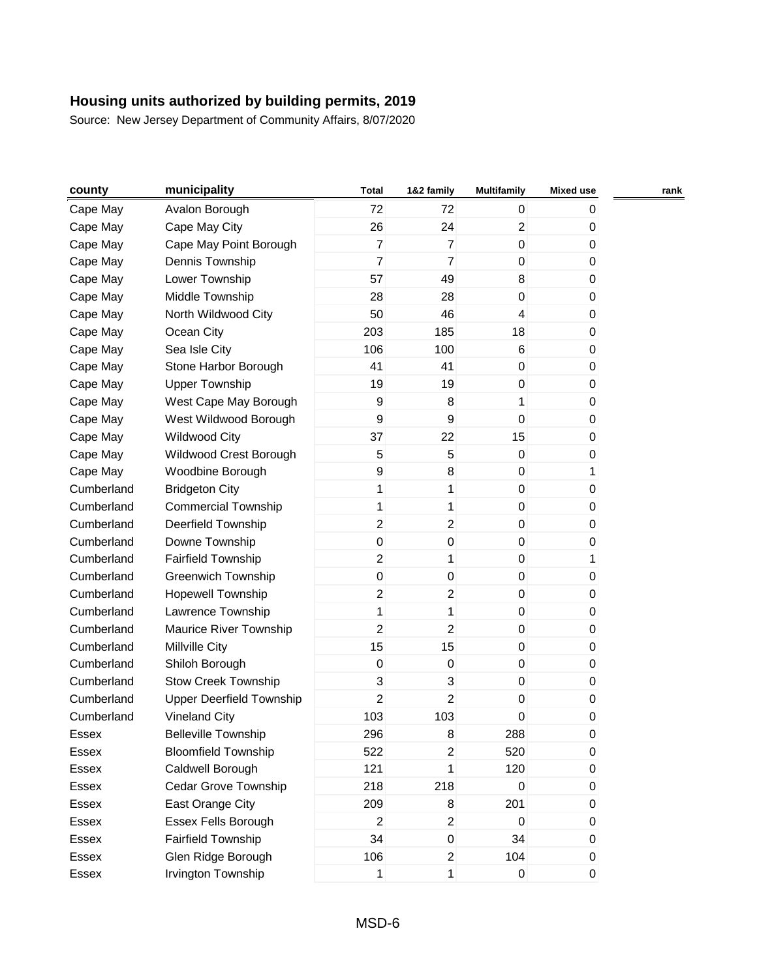| county     | municipality               | <b>Total</b>   | 1&2 family              | <b>Multifamily</b> | <b>Mixed use</b> | rank |
|------------|----------------------------|----------------|-------------------------|--------------------|------------------|------|
| Cape May   | Avalon Borough             | 72             | 72                      | 0                  | 0                |      |
| Cape May   | Cape May City              | 26             | 24                      | $\overline{c}$     | 0                |      |
| Cape May   | Cape May Point Borough     | $\overline{7}$ | $\overline{7}$          | $\mathbf 0$        | 0                |      |
| Cape May   | Dennis Township            | $\overline{7}$ | $\overline{7}$          | 0                  | 0                |      |
| Cape May   | Lower Township             | 57             | 49                      | 8                  | 0                |      |
| Cape May   | Middle Township            | 28             | 28                      | 0                  | 0                |      |
| Cape May   | North Wildwood City        | 50             | 46                      | 4                  | 0                |      |
| Cape May   | Ocean City                 | 203            | 185                     | 18                 | 0                |      |
| Cape May   | Sea Isle City              | 106            | 100                     | 6                  | 0                |      |
| Cape May   | Stone Harbor Borough       | 41             | 41                      | 0                  | 0                |      |
| Cape May   | <b>Upper Township</b>      | 19             | 19                      | 0                  | 0                |      |
| Cape May   | West Cape May Borough      | 9              | 8                       | 1                  | 0                |      |
| Cape May   | West Wildwood Borough      | 9              | 9                       | $\boldsymbol{0}$   | 0                |      |
| Cape May   | <b>Wildwood City</b>       | 37             | 22                      | 15                 | 0                |      |
| Cape May   | Wildwood Crest Borough     | 5              | 5                       | $\pmb{0}$          | 0                |      |
| Cape May   | Woodbine Borough           | 9              | 8                       | $\pmb{0}$          | 1                |      |
| Cumberland | <b>Bridgeton City</b>      | 1              | 1                       | $\pmb{0}$          | 0                |      |
| Cumberland | <b>Commercial Township</b> | 1              | 1                       | 0                  | 0                |      |
| Cumberland | Deerfield Township         | $\overline{2}$ | $\overline{\mathbf{c}}$ | $\pmb{0}$          | 0                |      |
| Cumberland | Downe Township             | 0              | $\pmb{0}$               | $\pmb{0}$          | 0                |      |
| Cumberland | <b>Fairfield Township</b>  | $\overline{2}$ | 1                       | 0                  | 1                |      |
| Cumberland | <b>Greenwich Township</b>  | $\mathbf 0$    | 0                       | $\pmb{0}$          | 0                |      |
| Cumberland | <b>Hopewell Township</b>   | $\overline{2}$ | $\overline{\mathbf{c}}$ | 0                  | 0                |      |
| Cumberland | Lawrence Township          | 1              | 1                       | $\pmb{0}$          | 0                |      |
| Cumberland | Maurice River Township     | $\overline{2}$ | $\overline{2}$          | 0                  | 0                |      |
| Cumberland | Millville City             | 15             | 15                      | $\pmb{0}$          | 0                |      |
| Cumberland | Shiloh Borough             | $\pmb{0}$      | $\pmb{0}$               | 0                  | 0                |      |
| Cumberland | <b>Stow Creek Township</b> | 3              | 3                       | $\pmb{0}$          | 0                |      |
| Cumberland | Upper Deerfield Township   | 2              | $\overline{c}$          | 0                  | 0                |      |
| Cumberland | <b>Vineland City</b>       | 103            | 103                     | 0                  | 0                |      |
| Essex      | <b>Belleville Township</b> | 296            | 8                       | 288                | 0                |      |
| Essex      | <b>Bloomfield Township</b> | 522            | $\overline{c}$          | 520                | 0                |      |
| Essex      | Caldwell Borough           | 121            | 1                       | 120                | 0                |      |
| Essex      | Cedar Grove Township       | 218            | 218                     | 0                  | 0                |      |
| Essex      | East Orange City           | 209            | 8                       | 201                | 0                |      |
| Essex      | Essex Fells Borough        | $\overline{2}$ | $\overline{c}$          | 0                  | 0                |      |
| Essex      | Fairfield Township         | 34             | $\pmb{0}$               | 34                 | 0                |      |
| Essex      | Glen Ridge Borough         | 106            | $\overline{2}$          | 104                | 0                |      |
| Essex      | Irvington Township         | $\mathbf{1}$   | $\mathbf{1}$            | $\pmb{0}$          | $\boldsymbol{0}$ |      |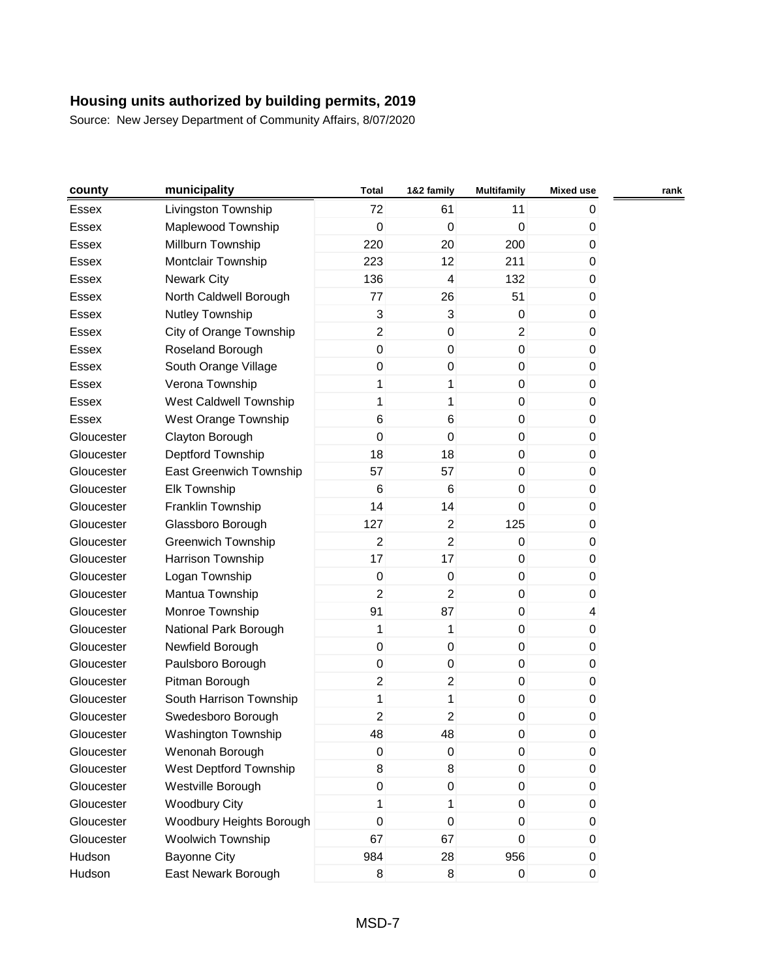| county     | municipality                   | <b>Total</b>   | 1&2 family       | <b>Multifamily</b> | <b>Mixed use</b> | rank |
|------------|--------------------------------|----------------|------------------|--------------------|------------------|------|
| Essex      | Livingston Township            | 72             | 61               | 11                 | 0                |      |
| Essex      | Maplewood Township             | $\pmb{0}$      | $\mathbf 0$      | $\mathbf 0$        | $\mathbf{0}$     |      |
| Essex      | Millburn Township              | 220            | 20               | 200                | 0                |      |
| Essex      | Montclair Township             | 223            | 12               | 211                | 0                |      |
| Essex      | <b>Newark City</b>             | 136            | 4                | 132                | 0                |      |
| Essex      | North Caldwell Borough         | 77             | 26               | 51                 | 0                |      |
| Essex      | <b>Nutley Township</b>         | 3              | $\sqrt{3}$       | $\pmb{0}$          | 0                |      |
| Essex      | City of Orange Township        | $\overline{2}$ | $\pmb{0}$        | $\overline{2}$     | $\mathbf 0$      |      |
| Essex      | Roseland Borough               | $\overline{0}$ | $\pmb{0}$        | $\boldsymbol{0}$   | 0                |      |
| Essex      | South Orange Village           | 0              | $\pmb{0}$        | $\mathbf 0$        | 0                |      |
| Essex      | Verona Township                | 1              | 1                | $\mathbf 0$        | $\mathbf 0$      |      |
| Essex      | West Caldwell Township         | 1              | 1                | $\pmb{0}$          | 0                |      |
| Essex      | West Orange Township           | 6              | 6                | $\mathbf 0$        | 0                |      |
| Gloucester | Clayton Borough                | $\mathbf 0$    | $\pmb{0}$        | $\overline{0}$     | 0                |      |
| Gloucester | Deptford Township              | 18             | 18               | $\mathbf 0$        | 0                |      |
| Gloucester | <b>East Greenwich Township</b> | 57             | 57               | $\mathbf 0$        | 0                |      |
| Gloucester | Elk Township                   | $\,6$          | 6                | $\mathbf 0$        | 0                |      |
| Gloucester | Franklin Township              | 14             | 14               | $\mathbf 0$        | 0                |      |
| Gloucester | Glassboro Borough              | 127            | $\overline{2}$   | 125                | 0                |      |
| Gloucester | <b>Greenwich Township</b>      | $\overline{2}$ | $\overline{2}$   | $\pmb{0}$          | 0                |      |
| Gloucester | Harrison Township              | 17             | 17               | $\mathbf 0$        | 0                |      |
| Gloucester | Logan Township                 | $\mathbf 0$    | $\pmb{0}$        | $\mathbf 0$        | $\mathbf 0$      |      |
| Gloucester | Mantua Township                | $\overline{c}$ | $\overline{2}$   | $\pmb{0}$          | 0                |      |
| Gloucester | Monroe Township                | 91             | 87               | $\overline{0}$     | 4                |      |
| Gloucester | National Park Borough          | 1              | $\mathbf{1}$     | $\overline{0}$     | 0                |      |
| Gloucester | Newfield Borough               | $\mathbf 0$    | $\pmb{0}$        | $\mathbf 0$        | 0                |      |
| Gloucester | Paulsboro Borough              | $\pmb{0}$      | $\pmb{0}$        | $\overline{0}$     | 0                |      |
| Gloucester | Pitman Borough                 | $\overline{2}$ | $\overline{2}$   | $\boldsymbol{0}$   | 0                |      |
| Gloucester | South Harrison Township        | 1              | 1                | $\pmb{0}$          | 0                |      |
| Gloucester | Swedesboro Borough             | $\overline{2}$ | $\boldsymbol{2}$ | 0                  | $\pmb{0}$        |      |
| Gloucester | Washington Township            | 48             | 48               | 0                  | $\pmb{0}$        |      |
| Gloucester | Wenonah Borough                | $\mathbf 0$    | 0                | $\mathbf 0$        | 0                |      |
| Gloucester | West Deptford Township         | 8              | 8                | $\overline{0}$     | $\boldsymbol{0}$ |      |
| Gloucester | Westville Borough              | 0              | $\pmb{0}$        | $\overline{0}$     | 0                |      |
| Gloucester | <b>Woodbury City</b>           | 1              | 1                | $\overline{0}$     | 0                |      |
| Gloucester | Woodbury Heights Borough       | $\mathbf 0$    | $\pmb{0}$        | $\mathbf 0$        | $\mathbf 0$      |      |
| Gloucester | Woolwich Township              | 67             | 67               | 0                  | 0                |      |
| Hudson     | <b>Bayonne City</b>            | 984            | 28               | 956                | 0                |      |
| Hudson     | East Newark Borough            | 8              | $\bf 8$          | $\boldsymbol{0}$   | $\overline{0}$   |      |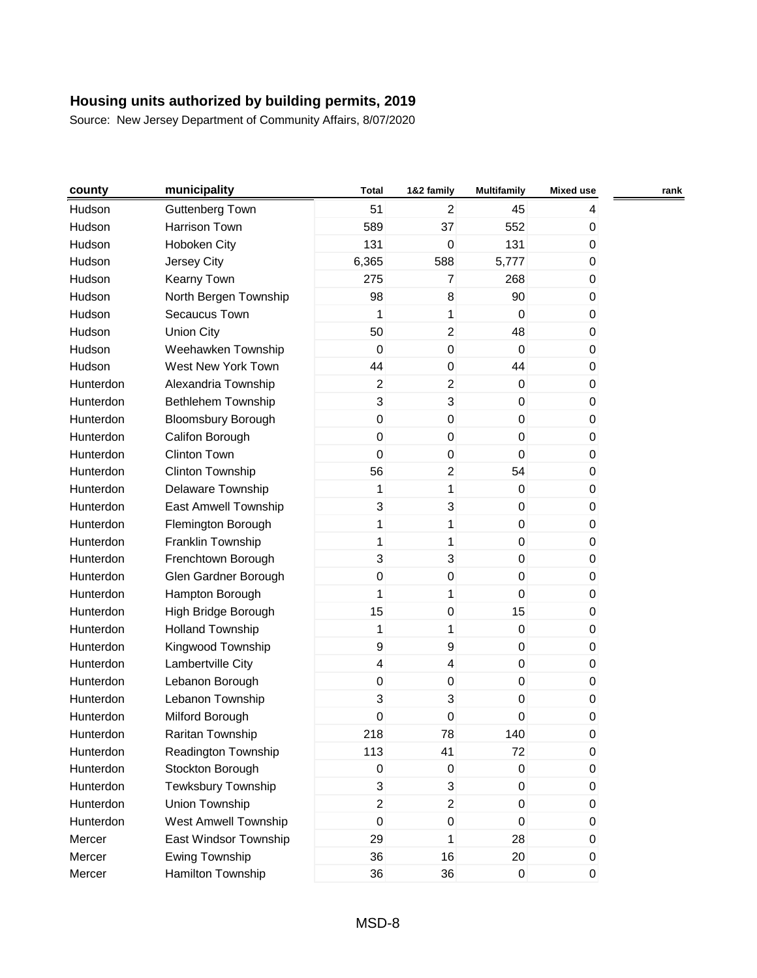| county    | municipality              | <b>Total</b>            | 1&2 family                | <b>Multifamily</b> | Mixed use      | rank |
|-----------|---------------------------|-------------------------|---------------------------|--------------------|----------------|------|
| Hudson    | <b>Guttenberg Town</b>    | 51                      | $\overline{c}$            | 45                 | 4              |      |
| Hudson    | Harrison Town             | 589                     | 37                        | 552                | 0              |      |
| Hudson    | Hoboken City              | 131                     | $\mathbf 0$               | 131                | 0              |      |
| Hudson    | Jersey City               | 6,365                   | 588                       | 5,777              | $\mathbf{0}$   |      |
| Hudson    | Kearny Town               | 275                     | $\overline{7}$            | 268                | $\mathbf 0$    |      |
| Hudson    | North Bergen Township     | 98                      | 8                         | 90                 | 0              |      |
| Hudson    | Secaucus Town             | 1                       | 1                         | $\mathbf 0$        | $\mathbf{0}$   |      |
| Hudson    | <b>Union City</b>         | 50                      | $\overline{2}$            | 48                 | $\mathbf 0$    |      |
| Hudson    | Weehawken Township        | $\mathbf 0$             | $\pmb{0}$                 | $\mathbf 0$        | $\mathbf{0}$   |      |
| Hudson    | West New York Town        | 44                      | $\pmb{0}$                 | 44                 | $\mathbf{0}$   |      |
| Hunterdon | Alexandria Township       | $\overline{c}$          | $\overline{c}$            | $\pmb{0}$          | $\pmb{0}$      |      |
| Hunterdon | <b>Bethlehem Township</b> | 3                       | 3                         | $\mathbf 0$        | $\mathbf{0}$   |      |
| Hunterdon | <b>Bloomsbury Borough</b> | $\pmb{0}$               | $\pmb{0}$                 | $\mathbf{0}$       | $\mathbf{0}$   |      |
| Hunterdon | Califon Borough           | $\mathsf 0$             | $\pmb{0}$                 | $\mathbf{0}$       | $\mathbf 0$    |      |
| Hunterdon | <b>Clinton Town</b>       | $\mathbf 0$             | $\pmb{0}$                 | $\mathbf{0}$       | $\mathbf{0}$   |      |
| Hunterdon | Clinton Township          | 56                      | $\boldsymbol{2}$          | 54                 | $\mathbf 0$    |      |
| Hunterdon | Delaware Township         | 1                       | $\mathbf{1}$              | $\mathbf 0$        | 0              |      |
| Hunterdon | East Amwell Township      | 3                       | 3                         | $\mathbf 0$        | $\mathbf{0}$   |      |
| Hunterdon | Flemington Borough        | 1                       | 1                         | $\mathbf 0$        | $\mathbf 0$    |      |
| Hunterdon | Franklin Township         | 1                       | 1                         | $\mathbf 0$        | $\mathbf{0}$   |      |
| Hunterdon | Frenchtown Borough        | 3                       | $\ensuremath{\mathsf{3}}$ | $\mathbf{0}$       | $\mathbf{0}$   |      |
| Hunterdon | Glen Gardner Borough      | $\mathsf 0$             | $\pmb{0}$                 | $\pmb{0}$          | $\pmb{0}$      |      |
| Hunterdon | Hampton Borough           | 1                       | 1                         | $\mathbf 0$        | $\mathbf{0}$   |      |
| Hunterdon | High Bridge Borough       | 15                      | $\pmb{0}$                 | 15                 | $\mathbf{0}$   |      |
| Hunterdon | <b>Holland Township</b>   | 1                       | $\mathbf{1}$              | $\overline{0}$     | $\mathbf 0$    |      |
| Hunterdon | Kingwood Township         | 9                       | $\boldsymbol{9}$          | $\mathbf 0$        | $\mathbf{0}$   |      |
| Hunterdon | Lambertville City         | $\overline{\mathbf{4}}$ | 4                         | $\mathbf 0$        | $\pmb{0}$      |      |
| Hunterdon | Lebanon Borough           | $\mathsf 0$             | $\pmb{0}$                 | $\overline{0}$     | 0              |      |
| Hunterdon | Lebanon Township          | 3                       | 3                         | $\mathbf 0$        | 0              |      |
| Hunterdon | Milford Borough           | 0                       | $\pmb{0}$                 | 0                  | 0              |      |
| Hunterdon | Raritan Township          | 218                     | 78                        | 140                | 0              |      |
| Hunterdon | Readington Township       | 113                     | 41                        | 72                 | 0              |      |
| Hunterdon | Stockton Borough          | $\pmb{0}$               | $\pmb{0}$                 | $\overline{0}$     | $\pmb{0}$      |      |
| Hunterdon | <b>Tewksbury Township</b> | 3                       | 3                         | $\overline{0}$     | 0              |      |
| Hunterdon | Union Township            | $\overline{2}$          | $\overline{c}$            | $\mathbf 0$        | $\mathbf{0}$   |      |
| Hunterdon | West Amwell Township      | $\mathsf 0$             | $\pmb{0}$                 | $\overline{0}$     | $\pmb{0}$      |      |
| Mercer    | East Windsor Township     | 29                      | 1                         | 28                 | 0              |      |
| Mercer    | <b>Ewing Township</b>     | 36                      | 16                        | 20                 | 0              |      |
| Mercer    | Hamilton Township         | 36                      | 36                        | $\overline{0}$     | $\overline{0}$ |      |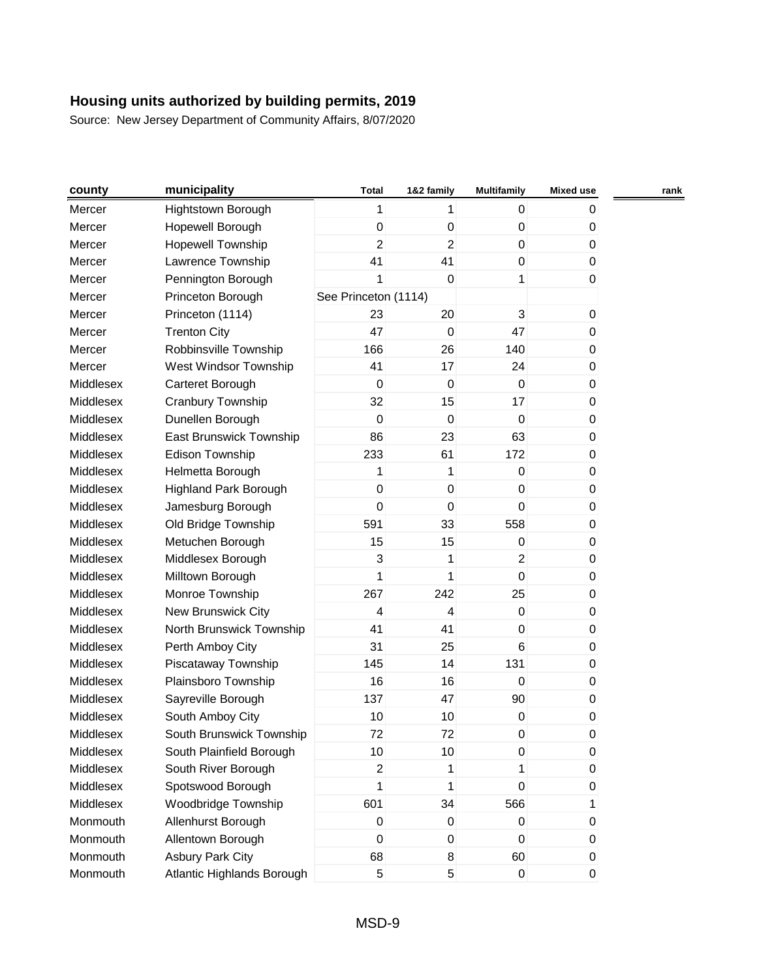| county    | municipality               | <b>Total</b>         | 1&2 family       | <b>Multifamily</b>  | <b>Mixed use</b> | rank |
|-----------|----------------------------|----------------------|------------------|---------------------|------------------|------|
| Mercer    | Hightstown Borough         | 1                    | 1                | 0                   | 0                |      |
| Mercer    | Hopewell Borough           | $\pmb{0}$            | $\mathbf 0$      | 0                   | $\mathbf 0$      |      |
| Mercer    | Hopewell Township          | $\overline{2}$       | $\overline{2}$   | $\mathbf 0$         | 0                |      |
| Mercer    | Lawrence Township          | 41                   | 41               | 0                   | 0                |      |
| Mercer    | Pennington Borough         | 1                    | $\mathbf 0$      | 1                   | $\mathbf 0$      |      |
| Mercer    | Princeton Borough          | See Princeton (1114) |                  |                     |                  |      |
| Mercer    | Princeton (1114)           | 23                   | 20               | 3                   | $\mathbf 0$      |      |
| Mercer    | <b>Trenton City</b>        | 47                   | $\mathbf 0$      | 47                  | 0                |      |
| Mercer    | Robbinsville Township      | 166                  | 26               | 140                 | 0                |      |
| Mercer    | West Windsor Township      | 41                   | 17               | 24                  | 0                |      |
| Middlesex | Carteret Borough           | $\mathbf 0$          | $\mathbf 0$      | $\mathbf 0$         | $\pmb{0}$        |      |
| Middlesex | Cranbury Township          | 32                   | 15               | 17                  | 0                |      |
| Middlesex | Dunellen Borough           | $\mathbf 0$          | $\mathbf 0$      | $\pmb{0}$           | 0                |      |
| Middlesex | East Brunswick Township    | 86                   | 23               | 63                  | $\pmb{0}$        |      |
| Middlesex | Edison Township            | 233                  | 61               | 172                 | 0                |      |
| Middlesex | Helmetta Borough           | 1                    | 1                | $\pmb{0}$           | $\pmb{0}$        |      |
| Middlesex | Highland Park Borough      | $\pmb{0}$            | $\boldsymbol{0}$ | $\mathsf{O}\xspace$ | $\pmb{0}$        |      |
| Middlesex | Jamesburg Borough          | 0                    | $\mathbf 0$      | 0                   | $\mathbf 0$      |      |
| Middlesex | Old Bridge Township        | 591                  | 33               | 558                 | 0                |      |
| Middlesex | Metuchen Borough           | 15                   | 15               | 0                   | 0                |      |
| Middlesex | Middlesex Borough          | 3                    | 1                | $\overline{2}$      | 0                |      |
| Middlesex | Milltown Borough           | 1                    | 1                | $\mathbf 0$         | $\pmb{0}$        |      |
| Middlesex | Monroe Township            | 267                  | 242              | 25                  | 0                |      |
| Middlesex | New Brunswick City         | 4                    | 4                | $\pmb{0}$           | 0                |      |
| Middlesex | North Brunswick Township   | 41                   | 41               | $\mathbf 0$         | $\mathbf 0$      |      |
| Middlesex | Perth Amboy City           | 31                   | 25               | 6                   | 0                |      |
| Middlesex | Piscataway Township        | 145                  | 14               | 131                 | 0                |      |
| Middlesex | Plainsboro Township        | 16                   | 16               | $\pmb{0}$           | $\pmb{0}$        |      |
| Middlesex | Sayreville Borough         | 137                  | 47               | 90                  | 0                |      |
| Middlesex | South Amboy City           | 10                   | 10               | 0                   | $\pmb{0}$        |      |
| Middlesex | South Brunswick Township   | 72                   | 72               | 0                   | 0                |      |
| Middlesex | South Plainfield Borough   | 10                   | 10               | 0                   | $\mathbf 0$      |      |
| Middlesex | South River Borough        | $\overline{2}$       | 1                | 1                   | $\pmb{0}$        |      |
| Middlesex | Spotswood Borough          | 1                    | 1                | $\mathbf 0$         | 0                |      |
| Middlesex | Woodbridge Township        | 601                  | 34               | 566                 | 1                |      |
| Monmouth  | Allenhurst Borough         | 0                    | $\pmb{0}$        | 0                   | $\pmb{0}$        |      |
| Monmouth  | Allentown Borough          | 0                    | $\pmb{0}$        | 0                   | 0                |      |
| Monmouth  | <b>Asbury Park City</b>    | 68                   | 8                | 60                  | $\mathbf 0$      |      |
| Monmouth  | Atlantic Highlands Borough | 5                    | 5                | $\pmb{0}$           | $\overline{0}$   |      |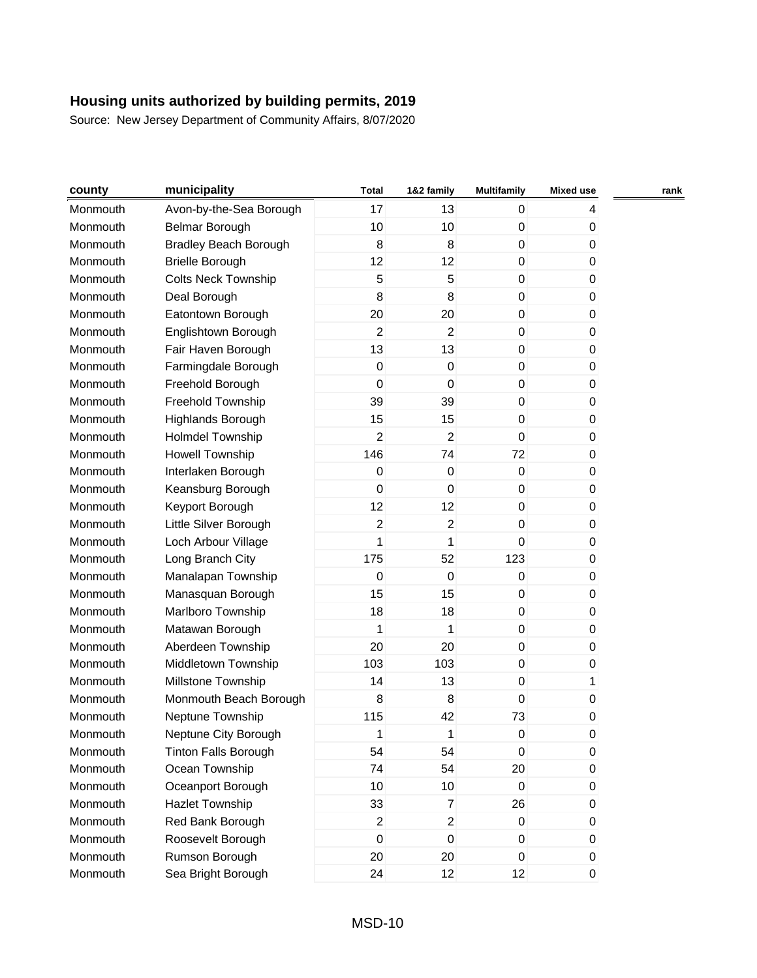| county   | municipality                 | <b>Total</b>   | 1&2 family       | <b>Multifamily</b> | <b>Mixed use</b> | rank |
|----------|------------------------------|----------------|------------------|--------------------|------------------|------|
| Monmouth | Avon-by-the-Sea Borough      | 17             | 13               | 0                  | 4                |      |
| Monmouth | <b>Belmar Borough</b>        | 10             | 10               | 0                  | 0                |      |
| Monmouth | <b>Bradley Beach Borough</b> | 8              | 8                | $\mathbf 0$        | 0                |      |
| Monmouth | <b>Brielle Borough</b>       | 12             | 12               | $\mathbf 0$        | 0                |      |
| Monmouth | <b>Colts Neck Township</b>   | 5              | 5                | 0                  | 0                |      |
| Monmouth | Deal Borough                 | 8              | 8                | 0                  | 0                |      |
| Monmouth | Eatontown Borough            | 20             | 20               | 0                  | 0                |      |
| Monmouth | Englishtown Borough          | $\overline{c}$ | $\overline{2}$   | $\mathbf 0$        | 0                |      |
| Monmouth | Fair Haven Borough           | 13             | 13               | 0                  | 0                |      |
| Monmouth | Farmingdale Borough          | $\pmb{0}$      | $\mathbf 0$      | 0                  | 0                |      |
| Monmouth | Freehold Borough             | $\mathsf 0$    | $\mathbf 0$      | $\mathbf 0$        | 0                |      |
| Monmouth | Freehold Township            | 39             | 39               | 0                  | 0                |      |
| Monmouth | <b>Highlands Borough</b>     | 15             | 15               | 0                  | 0                |      |
| Monmouth | <b>Holmdel Township</b>      | $\overline{c}$ | $\overline{2}$   | $\mathbf 0$        | 0                |      |
| Monmouth | <b>Howell Township</b>       | 146            | 74               | 72                 | 0                |      |
| Monmouth | Interlaken Borough           | 0              | $\boldsymbol{0}$ | $\mathbf 0$        | 0                |      |
| Monmouth | Keansburg Borough            | $\mathsf 0$    | $\boldsymbol{0}$ | 0                  | 0                |      |
| Monmouth | Keyport Borough              | 12             | 12               | 0                  | 0                |      |
| Monmouth | Little Silver Borough        | $\overline{c}$ | $\overline{2}$   | $\mathbf 0$        | 0                |      |
| Monmouth | Loch Arbour Village          | 1              | 1                | $\mathbf 0$        | 0                |      |
| Monmouth | Long Branch City             | 175            | 52               | 123                | 0                |      |
| Monmouth | Manalapan Township           | $\mathsf 0$    | $\boldsymbol{0}$ | $\mathsf 0$        | 0                |      |
| Monmouth | Manasquan Borough            | 15             | 15               | 0                  | 0                |      |
| Monmouth | Marlboro Township            | 18             | 18               | 0                  | 0                |      |
| Monmouth | Matawan Borough              | 1              | 1                | $\mathbf 0$        | 0                |      |
| Monmouth | Aberdeen Township            | 20             | 20               | 0                  | 0                |      |
| Monmouth | Middletown Township          | 103            | 103              | 0                  | 0                |      |
| Monmouth | Millstone Township           | 14             | 13               | $\pmb{0}$          | 1                |      |
| Monmouth | Monmouth Beach Borough       | 8              | 8                | 0                  | 0                |      |
| Monmouth | Neptune Township             | 115            | 42               | 73                 | 0                |      |
| Monmouth | Neptune City Borough         | 1              | 1                | $\pmb{0}$          | 0                |      |
| Monmouth | <b>Tinton Falls Borough</b>  | 54             | 54               | $\mathsf 0$        | 0                |      |
| Monmouth | Ocean Township               | 74             | 54               | 20                 | $\pmb{0}$        |      |
| Monmouth | Oceanport Borough            | 10             | 10               | $\mathbf 0$        | 0                |      |
| Monmouth | Hazlet Township              | 33             | $\overline{7}$   | 26                 | 0                |      |
| Monmouth | Red Bank Borough             | $\overline{c}$ | $\overline{c}$   | $\pmb{0}$          | $\pmb{0}$        |      |
| Monmouth | Roosevelt Borough            | $\mathsf 0$    | $\boldsymbol{0}$ | $\mathbf 0$        | 0                |      |
| Monmouth | Rumson Borough               | 20             | 20               | $\overline{0}$     | $\pmb{0}$        |      |
| Monmouth | Sea Bright Borough           | 24             | 12               | 12                 | $\boldsymbol{0}$ |      |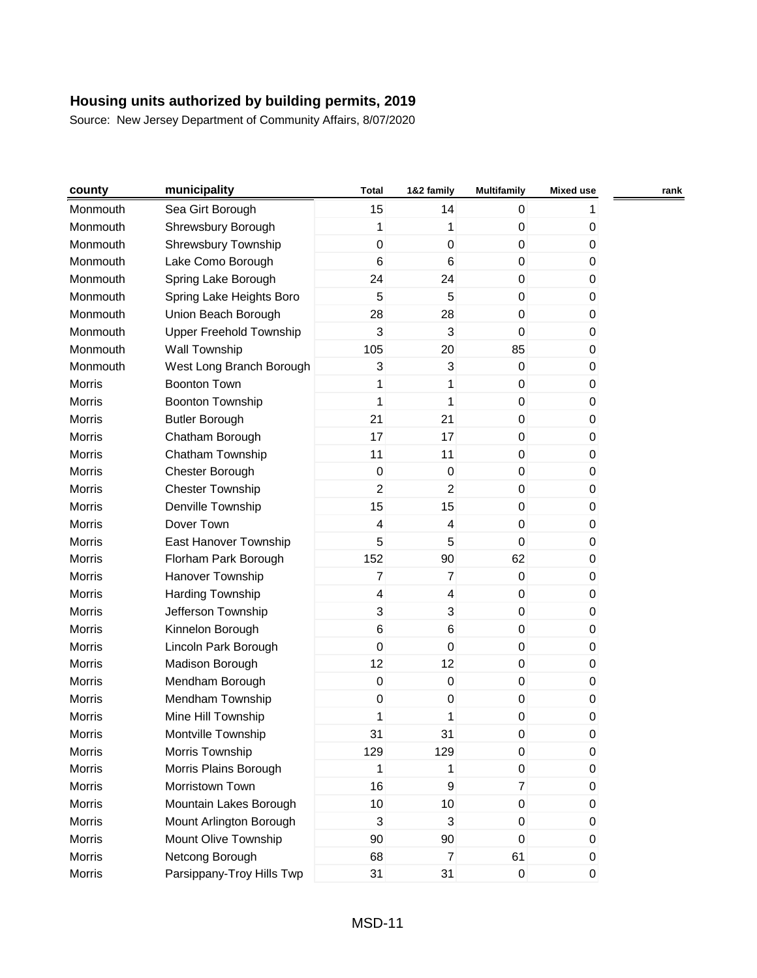| county        | municipality              | <b>Total</b>            | 1&2 family              | <b>Multifamily</b> | <b>Mixed use</b> | rank |
|---------------|---------------------------|-------------------------|-------------------------|--------------------|------------------|------|
| Monmouth      | Sea Girt Borough          | 15                      | 14                      | $\overline{0}$     | 1                |      |
| Monmouth      | Shrewsbury Borough        | 1                       | 1                       | $\pmb{0}$          | 0                |      |
| Monmouth      | Shrewsbury Township       | $\mathbf 0$             | $\mathbf 0$             | $\mathbf 0$        | 0                |      |
| Monmouth      | Lake Como Borough         | $6\phantom{1}6$         | 6                       | $\overline{0}$     | 0                |      |
| Monmouth      | Spring Lake Borough       | 24                      | 24                      | $\overline{0}$     | $\mathbf{0}$     |      |
| Monmouth      | Spring Lake Heights Boro  | 5                       | 5                       | $\boldsymbol{0}$   | $\pmb{0}$        |      |
| Monmouth      | Union Beach Borough       | 28                      | 28                      | $\mathbf 0$        | $\mathbf{0}$     |      |
| Monmouth      | Upper Freehold Township   | 3                       | 3                       | $\mathbf 0$        | 0                |      |
| Monmouth      | Wall Township             | 105                     | 20                      | 85                 | 0                |      |
| Monmouth      | West Long Branch Borough  | 3                       | 3                       | $\mathbf 0$        | $\mathbf{0}$     |      |
| Morris        | <b>Boonton Town</b>       | 1                       | 1                       | $\pmb{0}$          | $\pmb{0}$        |      |
| <b>Morris</b> | Boonton Township          | 1                       | 1                       | $\overline{0}$     | 0                |      |
| <b>Morris</b> | <b>Butler Borough</b>     | 21                      | 21                      | $\overline{0}$     | $\mathbf{0}$     |      |
| <b>Morris</b> | Chatham Borough           | 17                      | 17                      | $\mathbf 0$        | 0                |      |
| <b>Morris</b> | Chatham Township          | 11                      | 11                      | $\overline{0}$     | 0                |      |
| <b>Morris</b> | Chester Borough           | $\boldsymbol{0}$        | $\mathbf 0$             | $\overline{0}$     | 0                |      |
| <b>Morris</b> | <b>Chester Township</b>   | $\overline{c}$          | $\overline{c}$          | $\mathbf 0$        | 0                |      |
| <b>Morris</b> | Denville Township         | 15                      | 15                      | $\pmb{0}$          | 0                |      |
| <b>Morris</b> | Dover Town                | $\overline{\mathbf{4}}$ | 4                       | $\boldsymbol{0}$   | 0                |      |
| <b>Morris</b> | East Hanover Township     | 5                       | 5                       | $\mathbf 0$        | 0                |      |
| <b>Morris</b> | Florham Park Borough      | 152                     | 90                      | 62                 | $\mathbf{0}$     |      |
| <b>Morris</b> | Hanover Township          | $\overline{7}$          | $\overline{7}$          | $\pmb{0}$          | 0                |      |
| Morris        | Harding Township          | $\overline{\mathbf{4}}$ | $\overline{\mathbf{4}}$ | $\overline{0}$     | 0                |      |
| <b>Morris</b> | Jefferson Township        | $\mathbf{3}$            | 3                       | $\overline{0}$     | 0                |      |
| <b>Morris</b> | Kinnelon Borough          | $\,6$                   | 6                       | $\mathbf 0$        | 0                |      |
| Morris        | Lincoln Park Borough      | $\mathbf 0$             | $\boldsymbol{0}$        | $\overline{0}$     | 0                |      |
| <b>Morris</b> | Madison Borough           | 12                      | 12                      | $\overline{0}$     | 0                |      |
| <b>Morris</b> | Mendham Borough           | $\mathbf 0$             | $\boldsymbol{0}$        | $\boldsymbol{0}$   | $\pmb{0}$        |      |
| <b>Morris</b> | Mendham Township          | $\boldsymbol{0}$        | $\pmb{0}$               | $\mathbf 0$        | 0                |      |
| <b>Morris</b> | Mine Hill Township        | 1                       | 1                       | 0                  | 0                |      |
| Morris        | Montville Township        | 31                      | 31                      | 0                  | 0                |      |
| Morris        | Morris Township           | 129                     | 129                     | 0                  | 0                |      |
| Morris        | Morris Plains Borough     | 1                       | 1                       | $\overline{0}$     | 0                |      |
| Morris        | Morristown Town           | 16                      | $\boldsymbol{9}$        | $\overline{7}$     | 0                |      |
| Morris        | Mountain Lakes Borough    | 10                      | 10                      | $\overline{0}$     | 0                |      |
| Morris        | Mount Arlington Borough   | $\mathbf{3}$            | 3                       | $\mathbf 0$        | 0                |      |
| Morris        | Mount Olive Township      | 90                      | 90                      | $\overline{0}$     | 0                |      |
| Morris        | Netcong Borough           | 68                      | $\overline{7}$          | 61                 | 0                |      |
| Morris        | Parsippany-Troy Hills Twp | 31                      | 31                      | $\overline{0}$     | $\mathbf 0$      |      |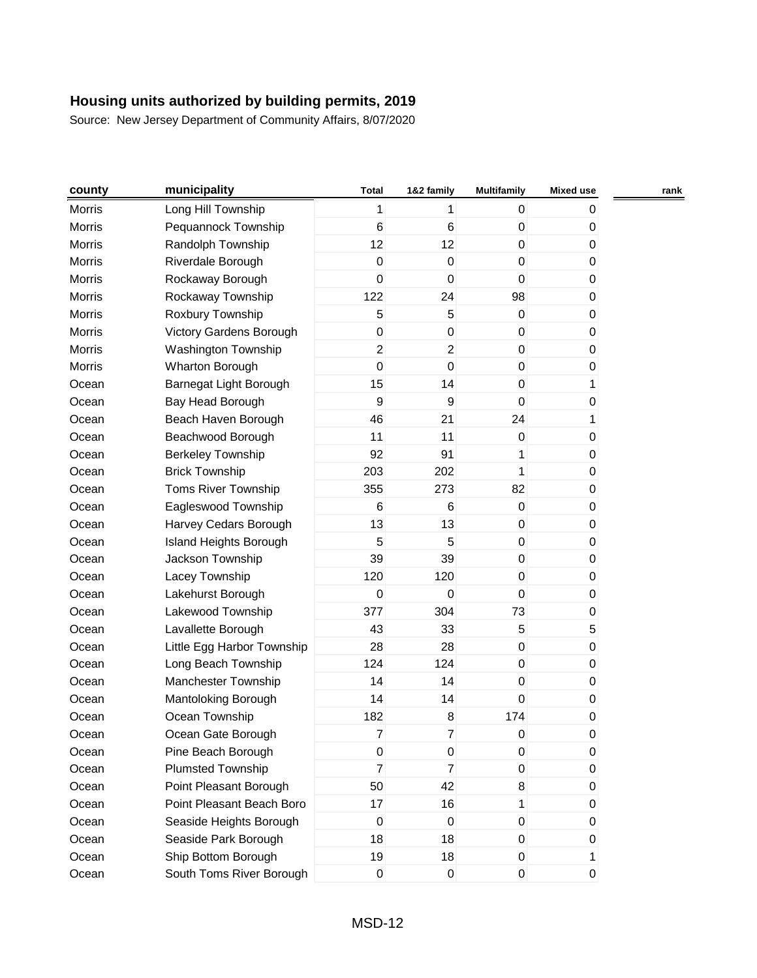| county        | municipality               | <b>Total</b>   | 1&2 family     | <b>Multifamily</b>  | <b>Mixed use</b> | rank |
|---------------|----------------------------|----------------|----------------|---------------------|------------------|------|
| Morris        | Long Hill Township         | 1              | 1              | 0                   | 0                |      |
| Morris        | Pequannock Township        | 6              | 6              | 0                   | 0                |      |
| Morris        | Randolph Township          | 12             | 12             | $\mathbf 0$         | $\pmb{0}$        |      |
| Morris        | Riverdale Borough          | $\pmb{0}$      | $\pmb{0}$      | $\pmb{0}$           | 0                |      |
| Morris        | Rockaway Borough           | $\mathbf 0$    | $\mathbf 0$    | 0                   | 0                |      |
| Morris        | Rockaway Township          | 122            | 24             | 98                  | 0                |      |
| Morris        | Roxbury Township           | 5              | 5              | 0                   | 0                |      |
| Morris        | Victory Gardens Borough    | 0              | $\pmb{0}$      | 0                   | 0                |      |
| Morris        | <b>Washington Township</b> | $\overline{2}$ | $\overline{2}$ | $\pmb{0}$           | 0                |      |
| <b>Morris</b> | Wharton Borough            | $\mathbf 0$    | $\mathbf 0$    | $\mathbf 0$         | 0                |      |
| Ocean         | Barnegat Light Borough     | 15             | 14             | $\mathbf 0$         | 1                |      |
| Ocean         | Bay Head Borough           | 9              | 9              | 0                   | $\pmb{0}$        |      |
| Ocean         | Beach Haven Borough        | 46             | 21             | 24                  | 1                |      |
| Ocean         | Beachwood Borough          | 11             | 11             | $\mathsf 0$         | 0                |      |
| Ocean         | <b>Berkeley Township</b>   | 92             | 91             | 1                   | 0                |      |
| Ocean         | <b>Brick Township</b>      | 203            | 202            | 1                   | 0                |      |
| Ocean         | Toms River Township        | 355            | 273            | 82                  | $\pmb{0}$        |      |
| Ocean         | Eagleswood Township        | 6              | 6              | 0                   | 0                |      |
| Ocean         | Harvey Cedars Borough      | 13             | 13             | 0                   | 0                |      |
| Ocean         | Island Heights Borough     | 5              | 5              | $\mathsf{O}\xspace$ | $\pmb{0}$        |      |
| Ocean         | Jackson Township           | 39             | 39             | 0                   | $\mathbf 0$      |      |
| Ocean         | Lacey Township             | 120            | 120            | 0                   | 0                |      |
| Ocean         | Lakehurst Borough          | $\pmb{0}$      | $\mathbf 0$    | $\pmb{0}$           | 0                |      |
| Ocean         | Lakewood Township          | 377            | 304            | 73                  | 0                |      |
| Ocean         | Lavallette Borough         | 43             | 33             | 5                   | 5                |      |
| Ocean         | Little Egg Harbor Township | 28             | 28             | $\pmb{0}$           | 0                |      |
| Ocean         | Long Beach Township        | 124            | 124            | 0                   | 0                |      |
| Ocean         | Manchester Township        | 14             | 14             | $\pmb{0}$           | 0                |      |
| Ocean         | Mantoloking Borough        | 14             | 14             | 0                   | 0                |      |
| Ocean         | Ocean Township             | 182            | 8              | 174                 | 0                |      |
| Ocean         | Ocean Gate Borough         | 7              | 7              | 0                   | 0                |      |
| Ocean         | Pine Beach Borough         | 0              | 0              | 0                   | 0                |      |
| Ocean         | <b>Plumsted Township</b>   | $\overline{7}$ | $\overline{7}$ | 0                   | $\pmb{0}$        |      |
| Ocean         | Point Pleasant Borough     | 50             | 42             | 8                   | 0                |      |
| Ocean         | Point Pleasant Beach Boro  | 17             | 16             | 1                   | 0                |      |
| Ocean         | Seaside Heights Borough    | $\pmb{0}$      | $\mathbf 0$    | 0                   | 0                |      |
| Ocean         | Seaside Park Borough       | 18             | 18             | 0                   | 0                |      |
| Ocean         | Ship Bottom Borough        | 19             | 18             | 0                   | 1                |      |
| Ocean         | South Toms River Borough   | $\pmb{0}$      | $\pmb{0}$      | $\boldsymbol{0}$    | $\overline{0}$   |      |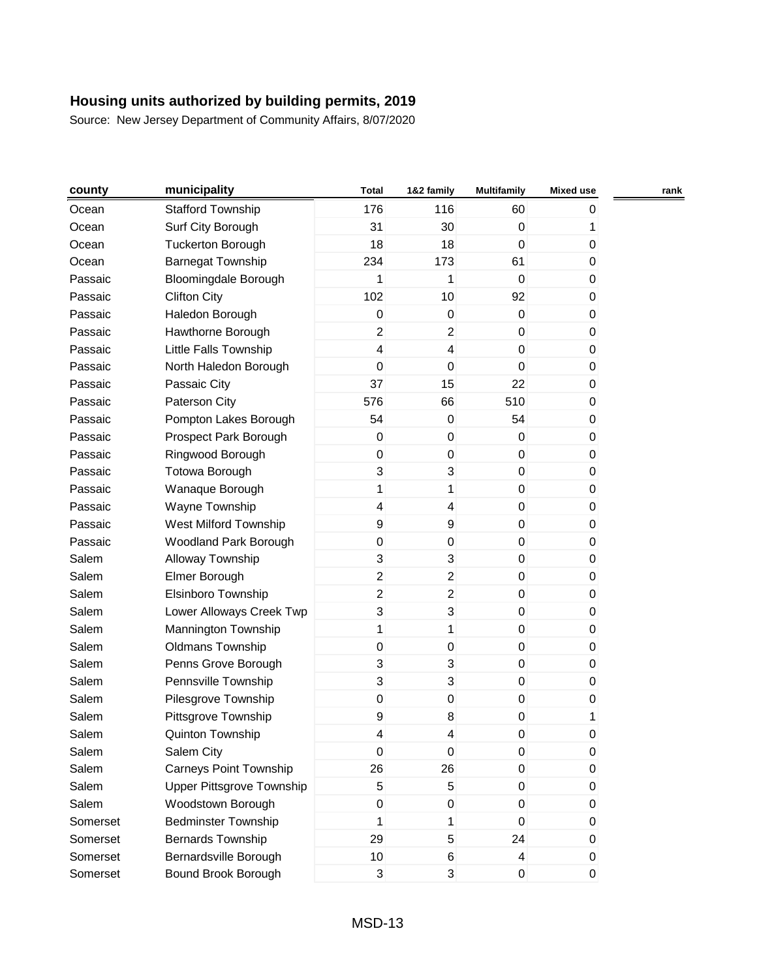| county   | municipality                  | <b>Total</b>            | 1&2 family              | <b>Multifamily</b> | <b>Mixed use</b> | rank |
|----------|-------------------------------|-------------------------|-------------------------|--------------------|------------------|------|
| Ocean    | <b>Stafford Township</b>      | 176                     | 116                     | 60                 | 0                |      |
| Ocean    | Surf City Borough             | 31                      | 30                      | $\pmb{0}$          | 1                |      |
| Ocean    | <b>Tuckerton Borough</b>      | 18                      | 18                      | $\pmb{0}$          | 0                |      |
| Ocean    | <b>Barnegat Township</b>      | 234                     | 173                     | 61                 | 0                |      |
| Passaic  | <b>Bloomingdale Borough</b>   | 1                       | 1                       | $\mathbf 0$        | 0                |      |
| Passaic  | <b>Clifton City</b>           | 102                     | 10                      | 92                 | 0                |      |
| Passaic  | Haledon Borough               | $\pmb{0}$               | 0                       | 0                  | $\mathbf 0$      |      |
| Passaic  | Hawthorne Borough             | $\overline{c}$          | $\overline{c}$          | 0                  | 0                |      |
| Passaic  | Little Falls Township         | $\overline{\mathbf{4}}$ | $\overline{\mathbf{4}}$ | $\pmb{0}$          | 0                |      |
| Passaic  | North Haledon Borough         | $\mathbf 0$             | $\mathbf 0$             | $\pmb{0}$          | 0                |      |
| Passaic  | Passaic City                  | 37                      | 15                      | 22                 | $\pmb{0}$        |      |
| Passaic  | Paterson City                 | 576                     | 66                      | 510                | 0                |      |
| Passaic  | Pompton Lakes Borough         | 54                      | $\pmb{0}$               | 54                 | 0                |      |
| Passaic  | Prospect Park Borough         | 0                       | $\mathbf 0$             | $\pmb{0}$          | 0                |      |
| Passaic  | Ringwood Borough              | 0                       | $\pmb{0}$               | 0                  | 0                |      |
| Passaic  | <b>Totowa Borough</b>         | 3                       | 3                       | 0                  | $\mathbf 0$      |      |
| Passaic  | Wanaque Borough               | $\mathbf{1}$            | 1                       | $\pmb{0}$          | 0                |      |
| Passaic  | Wayne Township                | 4                       | 4                       | 0                  | $\mathbf 0$      |      |
| Passaic  | West Milford Township         | 9                       | 9                       | 0                  | $\mathbf 0$      |      |
| Passaic  | Woodland Park Borough         | $\mathsf{O}\xspace$     | $\pmb{0}$               | $\boldsymbol{0}$   | $\mathbf 0$      |      |
| Salem    | Alloway Township              | 3                       | 3                       | 0                  | 0                |      |
| Salem    | Elmer Borough                 | $\overline{2}$          | $\overline{\mathbf{c}}$ | 0                  | $\pmb{0}$        |      |
| Salem    | Elsinboro Township            | $\overline{c}$          | $\overline{\mathbf{c}}$ | 0                  | 0                |      |
| Salem    | Lower Alloways Creek Twp      | 3                       | 3                       | 0                  | 0                |      |
| Salem    | Mannington Township           | $\mathbf{1}$            | 1                       | $\mathbf 0$        | 0                |      |
| Salem    | <b>Oldmans Township</b>       | 0                       | $\pmb{0}$               | 0                  | 0                |      |
| Salem    | Penns Grove Borough           | 3                       | 3                       | 0                  | 0                |      |
| Salem    | Pennsville Township           | 3                       | 3                       | $\pmb{0}$          | $\pmb{0}$        |      |
| Salem    | Pilesgrove Township           | $\pmb{0}$               | $\pmb{0}$               | 0                  | 0                |      |
| Salem    | Pittsgrove Township           | 9                       | 8                       | 0                  | 1                |      |
| Salem    | Quinton Township              | 4                       | 4                       | 0                  | 0                |      |
| Salem    | Salem City                    | 0                       | $\mathbf 0$             | 0                  | $\mathbf 0$      |      |
| Salem    | <b>Carneys Point Township</b> | 26                      | 26                      | $\mathbf 0$        | $\pmb{0}$        |      |
| Salem    | Upper Pittsgrove Township     | 5                       | 5                       | 0                  | 0                |      |
| Salem    | Woodstown Borough             | 0                       | 0                       | 0                  | 0                |      |
| Somerset | <b>Bedminster Township</b>    | 1                       | 1                       | $\mathbf 0$        | 0                |      |
| Somerset | <b>Bernards Township</b>      | 29                      | $\sqrt{5}$              | 24                 | 0                |      |
| Somerset | Bernardsville Borough         | 10                      | 6                       | 4                  | $\mathbf 0$      |      |
| Somerset | Bound Brook Borough           | 3                       | 3                       | $\pmb{0}$          | $\overline{0}$   |      |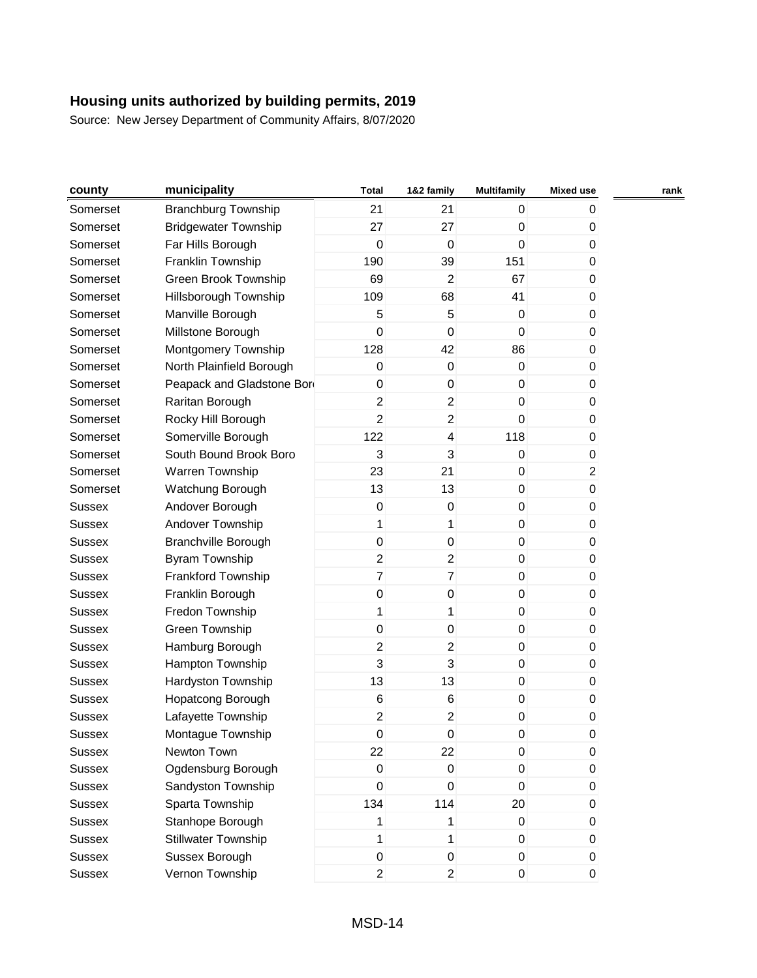| county        | municipality                | <b>Total</b>            | 1&2 family              | <b>Multifamily</b> | <b>Mixed use</b> | rank |
|---------------|-----------------------------|-------------------------|-------------------------|--------------------|------------------|------|
| Somerset      | <b>Branchburg Township</b>  | 21                      | 21                      | 0                  | 0                |      |
| Somerset      | <b>Bridgewater Township</b> | 27                      | 27                      | 0                  | 0                |      |
| Somerset      | Far Hills Borough           | $\pmb{0}$               | $\boldsymbol{0}$        | $\mathbf 0$        | $\boldsymbol{0}$ |      |
| Somerset      | Franklin Township           | 190                     | 39                      | 151                | 0                |      |
| Somerset      | Green Brook Township        | 69                      | $\overline{2}$          | 67                 | 0                |      |
| Somerset      | Hillsborough Township       | 109                     | 68                      | 41                 | 0                |      |
| Somerset      | Manville Borough            | 5                       | $\sqrt{5}$              | $\pmb{0}$          | 0                |      |
| Somerset      | Millstone Borough           | 0                       | $\mathbf 0$             | 0                  | 0                |      |
| Somerset      | Montgomery Township         | 128                     | 42                      | 86                 | 0                |      |
| Somerset      | North Plainfield Borough    | $\pmb{0}$               | $\pmb{0}$               | $\mathbf 0$        | 0                |      |
| Somerset      | Peapack and Gladstone Bor   | $\pmb{0}$               | $\mathbf 0$             | 0                  | 0                |      |
| Somerset      | Raritan Borough             | $\overline{\mathbf{c}}$ | $\overline{\mathbf{c}}$ | 0                  | 0                |      |
| Somerset      | Rocky Hill Borough          | $\overline{c}$          | $\overline{c}$          | 0                  | 0                |      |
| Somerset      | Somerville Borough          | 122                     | 4                       | 118                | 0                |      |
| Somerset      | South Bound Brook Boro      | 3                       | $\mathbf{3}$            | 0                  | 0                |      |
| Somerset      | Warren Township             | 23                      | 21                      | 0                  | $\overline{c}$   |      |
| Somerset      | Watchung Borough            | 13                      | 13                      | 0                  | $\boldsymbol{0}$ |      |
| <b>Sussex</b> | Andover Borough             | $\boldsymbol{0}$        | $\pmb{0}$               | 0                  | 0                |      |
| <b>Sussex</b> | Andover Township            | 1                       | 1                       | 0                  | 0                |      |
| Sussex        | <b>Branchville Borough</b>  | 0                       | $\pmb{0}$               | 0                  | 0                |      |
| <b>Sussex</b> | Byram Township              | $\overline{2}$          | $\overline{c}$          | 0                  | 0                |      |
| <b>Sussex</b> | Frankford Township          | $\overline{7}$          | $\overline{7}$          | 0                  | $\mathbf 0$      |      |
| <b>Sussex</b> | Franklin Borough            | $\pmb{0}$               | $\pmb{0}$               | 0                  | 0                |      |
| <b>Sussex</b> | Fredon Township             | 1                       | 1                       | 0                  | 0                |      |
| <b>Sussex</b> | Green Township              | 0                       | $\pmb{0}$               | $\pmb{0}$          | 0                |      |
| <b>Sussex</b> | Hamburg Borough             | $\overline{c}$          | $\overline{c}$          | 0                  | 0                |      |
| <b>Sussex</b> | Hampton Township            | 3                       | 3                       | 0                  | 0                |      |
| <b>Sussex</b> | Hardyston Township          | 13                      | 13                      | $\pmb{0}$          | $\boldsymbol{0}$ |      |
| <b>Sussex</b> | Hopatcong Borough           | 6                       | $\,6$                   | $\pmb{0}$          | 0                |      |
| <b>Sussex</b> | Lafayette Township          | 2                       | 2                       | 0                  | 0                |      |
| Sussex        | Montague Township           | $\pmb{0}$               | 0                       | 0                  | 0                |      |
| <b>Sussex</b> | Newton Town                 | 22                      | 22                      | $\pmb{0}$          | 0                |      |
| <b>Sussex</b> | Ogdensburg Borough          | $\pmb{0}$               | $\pmb{0}$               | $\mathbf 0$        | $\boldsymbol{0}$ |      |
| <b>Sussex</b> | Sandyston Township          | $\mathsf 0$             | $\pmb{0}$               | 0                  | 0                |      |
| <b>Sussex</b> | Sparta Township             | 134                     | 114                     | 20                 | 0                |      |
| Sussex        | Stanhope Borough            | 1                       | 1                       | $\pmb{0}$          | $\mathbf 0$      |      |
| <b>Sussex</b> | <b>Stillwater Township</b>  | 1                       | $\mathbf{1}$            | 0                  | 0                |      |
| <b>Sussex</b> | Sussex Borough              | $\pmb{0}$               | $\pmb{0}$               | $\overline{0}$     | 0                |      |
| <b>Sussex</b> | Vernon Township             | $\overline{2}$          | $\overline{2}$          | $\boldsymbol{0}$   | $\pmb{0}$        |      |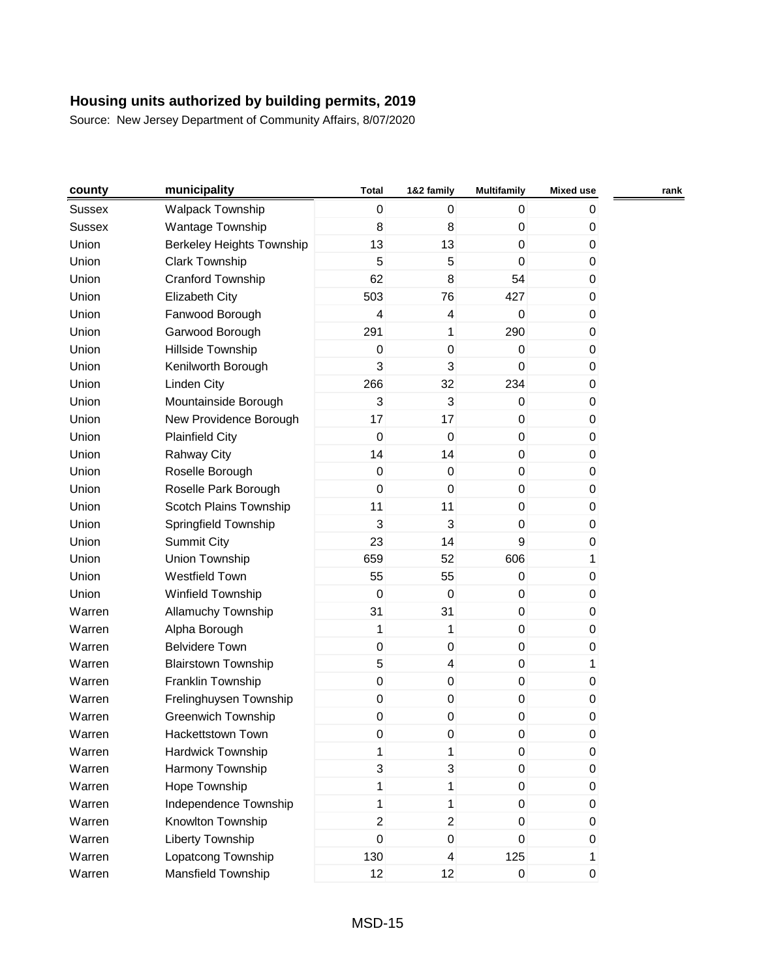| county        | municipality                     | <b>Total</b>     | 1&2 family       | <b>Multifamily</b> | <b>Mixed use</b> | rank |
|---------------|----------------------------------|------------------|------------------|--------------------|------------------|------|
| <b>Sussex</b> | <b>Walpack Township</b>          | $\overline{0}$   | 0                | 0                  | 0                |      |
| <b>Sussex</b> | Wantage Township                 | 8                | 8                | $\boldsymbol{0}$   | 0                |      |
| Union         | <b>Berkeley Heights Township</b> | 13               | 13               | $\mathbf 0$        | 0                |      |
| Union         | <b>Clark Township</b>            | 5                | 5                | $\mathbf 0$        | 0                |      |
| Union         | Cranford Township                | 62               | 8                | 54                 | 0                |      |
| Union         | <b>Elizabeth City</b>            | 503              | 76               | 427                | 0                |      |
| Union         | Fanwood Borough                  | 4                | 4                | 0                  | 0                |      |
| Union         | Garwood Borough                  | 291              | 1                | 290                | 0                |      |
| Union         | Hillside Township                | $\mathbf 0$      | $\pmb{0}$        | $\boldsymbol{0}$   | 0                |      |
| Union         | Kenilworth Borough               | 3                | 3                | $\mathbf 0$        | 0                |      |
| Union         | <b>Linden City</b>               | 266              | 32               | 234                | 0                |      |
| Union         | Mountainside Borough             | 3                | 3                | $\boldsymbol{0}$   | 0                |      |
| Union         | New Providence Borough           | 17               | 17               | $\boldsymbol{0}$   | 0                |      |
| Union         | <b>Plainfield City</b>           | $\mathbf 0$      | $\mathbf 0$      | $\mathbf 0$        | 0                |      |
| Union         | <b>Rahway City</b>               | 14               | 14               | $\pmb{0}$          | 0                |      |
| Union         | Roselle Borough                  | $\pmb{0}$        | $\pmb{0}$        | $\boldsymbol{0}$   | 0                |      |
| Union         | Roselle Park Borough             | $\boldsymbol{0}$ | $\mathbf 0$      | $\mathbf 0$        | 0                |      |
| Union         | Scotch Plains Township           | 11               | 11               | $\boldsymbol{0}$   | 0                |      |
| Union         | Springfield Township             | $\mathbf{3}$     | 3                | $\boldsymbol{0}$   | 0                |      |
| Union         | <b>Summit City</b>               | 23               | 14               | 9                  | 0                |      |
| Union         | Union Township                   | 659              | 52               | 606                | 1                |      |
| Union         | <b>Westfield Town</b>            | 55               | 55               | $\boldsymbol{0}$   | 0                |      |
| Union         | Winfield Township                | $\pmb{0}$        | $\pmb{0}$        | $\boldsymbol{0}$   | 0                |      |
| Warren        | <b>Allamuchy Township</b>        | 31               | 31               | $\boldsymbol{0}$   | 0                |      |
| Warren        | Alpha Borough                    | 1                | 1                | $\mathbf 0$        | 0                |      |
| Warren        | <b>Belvidere Town</b>            | $\mathbf 0$      | $\pmb{0}$        | $\pmb{0}$          | 0                |      |
| Warren        | <b>Blairstown Township</b>       | 5                | 4                | $\boldsymbol{0}$   | 1                |      |
| Warren        | Franklin Township                | $\pmb{0}$        | $\pmb{0}$        | $\mathbf 0$        | 0                |      |
| Warren        | Frelinghuysen Township           | $\mathbf 0$      | $\boldsymbol{0}$ | $\boldsymbol{0}$   | 0                |      |
| Warren        | Greenwich Township               | 0                | 0                | $\boldsymbol{0}$   | 0                |      |
| Warren        | Hackettstown Town                | 0                | 0                | 0                  | $\pmb{0}$        |      |
| Warren        | Hardwick Township                | 1                | 1                | $\boldsymbol{0}$   | 0                |      |
| Warren        | Harmony Township                 | 3                | 3                | 0                  | 0                |      |
| Warren        | Hope Township                    | $\mathbf{1}$     | 1                | $\boldsymbol{0}$   | 0                |      |
| Warren        | Independence Township            | 1                | 1                | 0                  | 0                |      |
| Warren        | Knowlton Township                | $\overline{2}$   | $\overline{c}$   | 0                  | 0                |      |
| Warren        | Liberty Township                 | $\pmb{0}$        | $\pmb{0}$        | 0                  | 0                |      |
| Warren        | Lopatcong Township               | 130              | 4                | 125                |                  |      |
| Warren        | Mansfield Township               | 12               | 12               | $\mathsf 0$        | 0                |      |